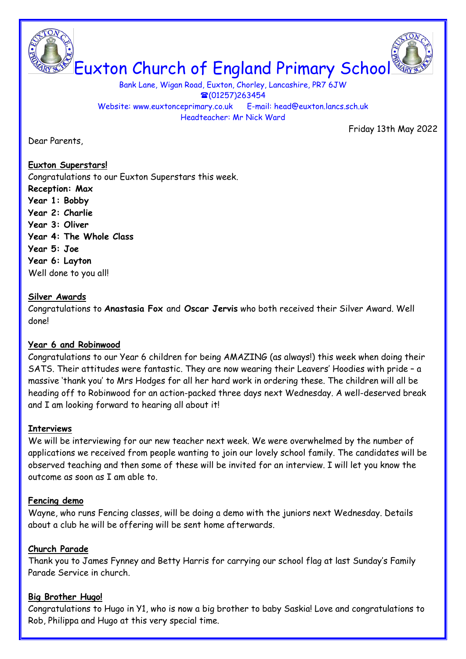Euxton Church of England Primary School

Bank Lane, Wigan Road, Euxton, Chorley, Lancashire, PR7 6JW  $\textcircled{1257}$ )263454 Website: www.euxtonceprimary.co.uk E-mail: [head@euxton.lancs.sch.uk](mailto:head@euxton.lancs.sch.uk) Headteacher: Mr Nick Ward

Dear Parents,

Friday 13th May 2022

# **Euxton Superstars!**

Congratulations to our Euxton Superstars this week. **Reception: Max Year 1: Bobby Year 2: Charlie Year 3: Oliver Year 4: The Whole Class Year 5: Joe Year 6: Layton** Well done to you all!

## **Silver Awards**

Congratulations to **Anastasia Fox** and **Oscar Jervis** who both received their Silver Award. Well done!

# **Year 6 and Robinwood**

Congratulations to our Year 6 children for being AMAZING (as always!) this week when doing their SATS. Their attitudes were fantastic. They are now wearing their Leavers' Hoodies with pride – a massive 'thank you' to Mrs Hodges for all her hard work in ordering these. The children will all be heading off to Robinwood for an action-packed three days next Wednesday. A well-deserved break and I am looking forward to hearing all about it!

# **Interviews**

We will be interviewing for our new teacher next week. We were overwhelmed by the number of applications we received from people wanting to join our lovely school family. The candidates will be observed teaching and then some of these will be invited for an interview. I will let you know the outcome as soon as I am able to.

# **Fencing demo**

Wayne, who runs Fencing classes, will be doing a demo with the juniors next Wednesday. Details about a club he will be offering will be sent home afterwards.

# **Church Parade**

Thank you to James Fynney and Betty Harris for carrying our school flag at last Sunday's Family Parade Service in church.

# **Big Brother Hugo!**

Congratulations to Hugo in Y1, who is now a big brother to baby Saskia! Love and congratulations to Rob, Philippa and Hugo at this very special time.